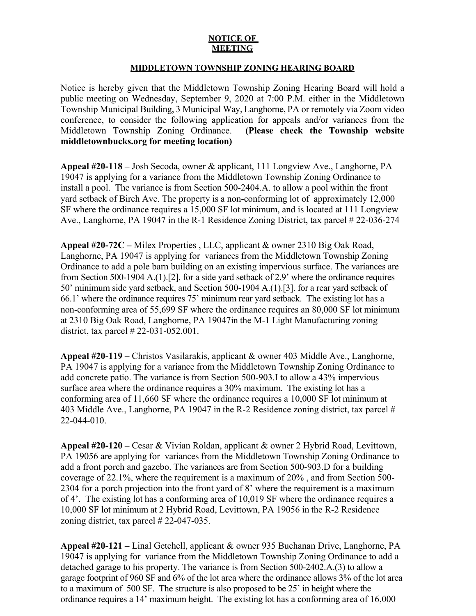## **NOTICE OF MEETING**

## **MIDDLETOWN TOWNSHIP ZONING HEARING BOARD**

Notice is hereby given that the Middletown Township Zoning Hearing Board will hold a public meeting on Wednesday, September 9, 2020 at 7:00 P.M. either in the Middletown Township Municipal Building, 3 Municipal Way, Langhorne, PA or remotely via Zoom video conference, to consider the following application for appeals and/or variances from the Middletown Township Zoning Ordinance. **(Please check the Township website middletownbucks.org for meeting location)** 

**Appeal #20-118 –** Josh Secoda, owner & applicant, 111 Longview Ave., Langhorne, PA 19047 is applying for a variance from the Middletown Township Zoning Ordinance to install a pool. The variance is from Section 500-2404.A. to allow a pool within the front yard setback of Birch Ave. The property is a non-conforming lot of approximately 12,000 SF where the ordinance requires a 15,000 SF lot minimum, and is located at 111 Longview Ave., Langhorne, PA 19047 in the R-1 Residence Zoning District, tax parcel # 22-036-274

**Appeal #20-72C –** Milex Properties , LLC, applicant & owner 2310 Big Oak Road, Langhorne, PA 19047 is applying for variances from the Middletown Township Zoning Ordinance to add a pole barn building on an existing impervious surface. The variances are from Section 500-1904 A.(1).[2]. for a side yard setback of 2.9' where the ordinance requires 50' minimum side yard setback, and Section 500-1904 A.(1).[3]. for a rear yard setback of 66.1' where the ordinance requires 75' minimum rear yard setback. The existing lot has a non-conforming area of 55,699 SF where the ordinance requires an 80,000 SF lot minimum at 2310 Big Oak Road, Langhorne, PA 19047in the M-1 Light Manufacturing zoning district, tax parcel # 22-031-052.001.

**Appeal #20-119 –** Christos Vasilarakis, applicant & owner 403 Middle Ave., Langhorne, PA 19047 is applying for a variance from the Middletown Township Zoning Ordinance to add concrete patio. The variance is from Section 500-903.I to allow a 43% impervious surface area where the ordinance requires a 30% maximum. The existing lot has a conforming area of 11,660 SF where the ordinance requires a 10,000 SF lot minimum at 403 Middle Ave., Langhorne, PA 19047 in the R-2 Residence zoning district, tax parcel # 22-044-010.

**Appeal #20-120 –** Cesar & Vivian Roldan, applicant & owner 2 Hybrid Road, Levittown, PA 19056 are applying for variances from the Middletown Township Zoning Ordinance to add a front porch and gazebo. The variances are from Section 500-903.D for a building coverage of 22.1%, where the requirement is a maximum of 20% , and from Section 500- 2304 for a porch projection into the front yard of 8' where the requirement is a maximum of 4'. The existing lot has a conforming area of 10,019 SF where the ordinance requires a 10,000 SF lot minimum at 2 Hybrid Road, Levittown, PA 19056 in the R-2 Residence zoning district, tax parcel # 22-047-035.

**Appeal #20-121 –** Linal Getchell, applicant & owner 935 Buchanan Drive, Langhorne, PA 19047 is applying for variance from the Middletown Township Zoning Ordinance to add a detached garage to his property. The variance is from Section 500-2402.A.(3) to allow a garage footprint of 960 SF and 6% of the lot area where the ordinance allows 3% of the lot area to a maximum of 500 SF. The structure is also proposed to be 25' in height where the ordinance requires a 14' maximum height. The existing lot has a conforming area of 16,000